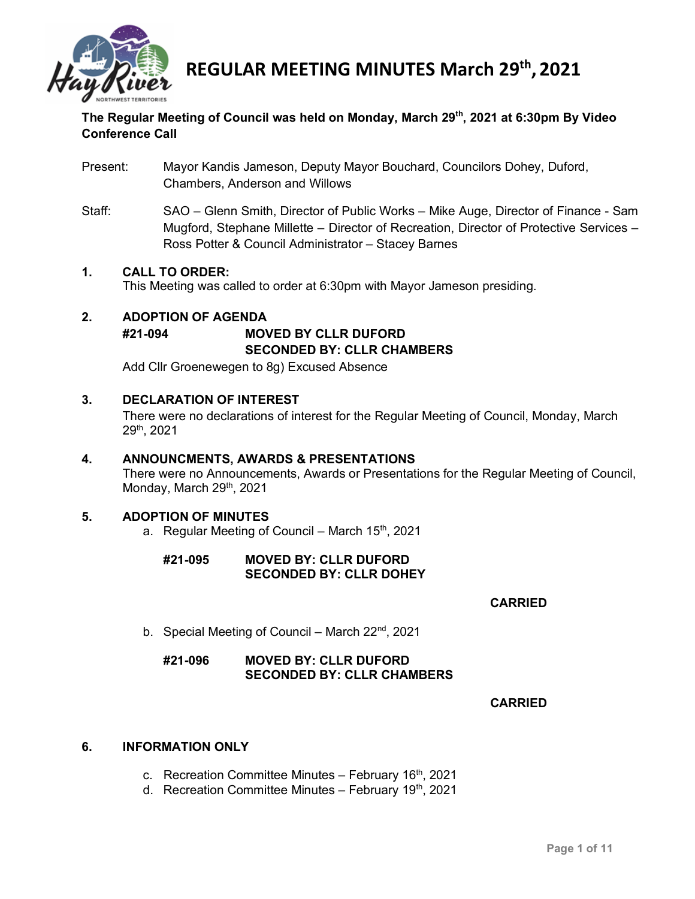

# **The Regular Meeting of Council was held on Monday, March 29th, 2021 at 6:30pm By Video Conference Call**

- Present: Mayor Kandis Jameson, Deputy Mayor Bouchard, Councilors Dohey, Duford, Chambers, Anderson and Willows
- Staff: SAO Glenn Smith, Director of Public Works Mike Auge, Director of Finance Sam Mugford, Stephane Millette – Director of Recreation, Director of Protective Services – Ross Potter & Council Administrator – Stacey Barnes

#### **1. CALL TO ORDER:**

This Meeting was called to order at 6:30pm with Mayor Jameson presiding.

# **2. ADOPTION OF AGENDA #21-094 MOVED BY CLLR DUFORD SECONDED BY: CLLR CHAMBERS**

Add Cllr Groenewegen to 8g) Excused Absence

#### **3. DECLARATION OF INTEREST**

There were no declarations of interest for the Regular Meeting of Council, Monday, March 29th, 2021

#### **4. ANNOUNCMENTS, AWARDS & PRESENTATIONS**

There were no Announcements, Awards or Presentations for the Regular Meeting of Council, Monday, March 29th, 2021

#### **5. ADOPTION OF MINUTES**

a. Regular Meeting of Council – March  $15<sup>th</sup>$ , 2021

### **#21-095 MOVED BY: CLLR DUFORD SECONDED BY: CLLR DOHEY**

#### **CARRIED**

b. Special Meeting of Council – March 22<sup>nd</sup>, 2021

# **#21-096 MOVED BY: CLLR DUFORD SECONDED BY: CLLR CHAMBERS**

#### **CARRIED**

#### **6. INFORMATION ONLY**

- c. Recreation Committee Minutes February 16<sup>th</sup>, 2021
- d. Recreation Committee Minutes February 19<sup>th</sup>, 2021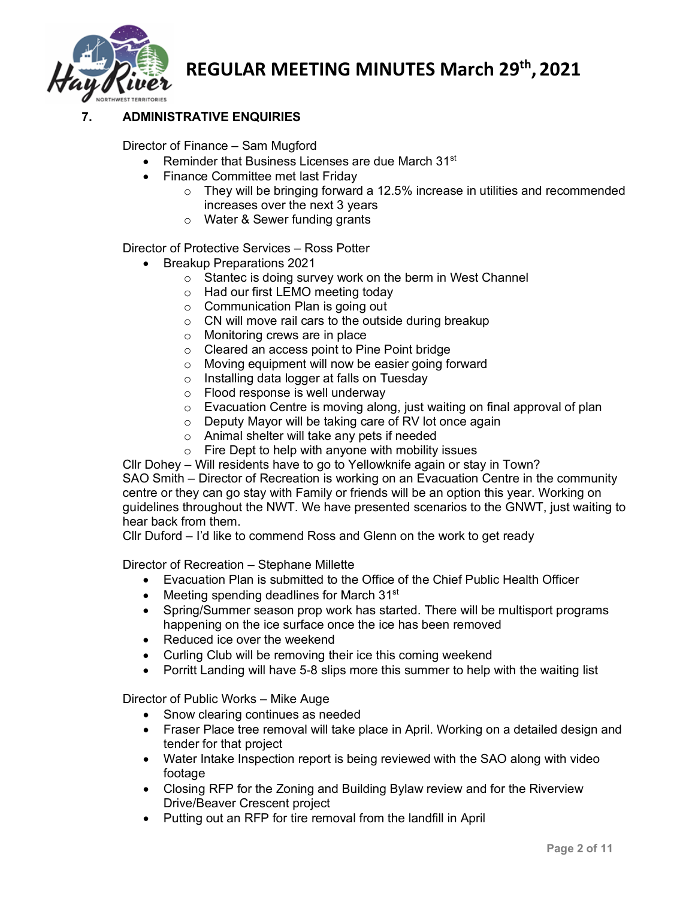

# **7. ADMINISTRATIVE ENQUIRIES**

Director of Finance – Sam Mugford

- Reminder that Business Licenses are due March 31<sup>st</sup>
- Finance Committee met last Friday
	- o They will be bringing forward a 12.5% increase in utilities and recommended increases over the next 3 years
	- o Water & Sewer funding grants

Director of Protective Services – Ross Potter

- Breakup Preparations 2021
	- o Stantec is doing survey work on the berm in West Channel
	- o Had our first LEMO meeting today
	- o Communication Plan is going out
	- o CN will move rail cars to the outside during breakup
	- o Monitoring crews are in place
	- o Cleared an access point to Pine Point bridge
	- o Moving equipment will now be easier going forward o Installing data logger at falls on Tuesday
	- Installing data logger at falls on Tuesday
	- o Flood response is well underway
	- o Evacuation Centre is moving along, just waiting on final approval of plan
	- o Deputy Mayor will be taking care of RV lot once again
	- o Animal shelter will take any pets if needed
	- $\circ$  Fire Dept to help with anyone with mobility issues

Cllr Dohey – Will residents have to go to Yellowknife again or stay in Town? SAO Smith – Director of Recreation is working on an Evacuation Centre in the community centre or they can go stay with Family or friends will be an option this year. Working on guidelines throughout the NWT. We have presented scenarios to the GNWT, just waiting to hear back from them.

Cllr Duford – I'd like to commend Ross and Glenn on the work to get ready

Director of Recreation – Stephane Millette

- Evacuation Plan is submitted to the Office of the Chief Public Health Officer
- Meeting spending deadlines for March 31<sup>st</sup>
- Spring/Summer season prop work has started. There will be multisport programs happening on the ice surface once the ice has been removed
- Reduced ice over the weekend
- Curling Club will be removing their ice this coming weekend
- Porritt Landing will have 5-8 slips more this summer to help with the waiting list

Director of Public Works – Mike Auge

- Snow clearing continues as needed
- Fraser Place tree removal will take place in April. Working on a detailed design and tender for that project
- Water Intake Inspection report is being reviewed with the SAO along with video footage
- Closing RFP for the Zoning and Building Bylaw review and for the Riverview Drive/Beaver Crescent project
- Putting out an RFP for tire removal from the landfill in April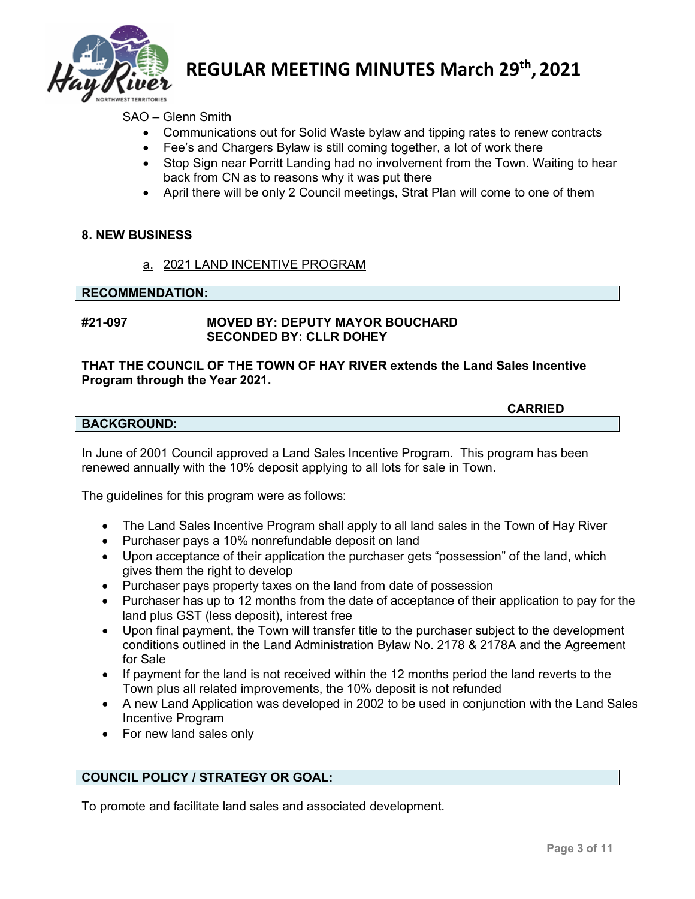

# SAO – Glenn Smith

- Communications out for Solid Waste bylaw and tipping rates to renew contracts
- Fee's and Chargers Bylaw is still coming together, a lot of work there
- Stop Sign near Porritt Landing had no involvement from the Town. Waiting to hear back from CN as to reasons why it was put there
- April there will be only 2 Council meetings, Strat Plan will come to one of them

#### **8. NEW BUSINESS**

a. 2021 LAND INCENTIVE PROGRAM

#### **RECOMMENDATION:**

### **#21-097 MOVED BY: DEPUTY MAYOR BOUCHARD SECONDED BY: CLLR DOHEY**

### **THAT THE COUNCIL OF THE TOWN OF HAY RIVER extends the Land Sales Incentive Program through the Year 2021.**

#### **CARRIED**

#### **BACKGROUND:**

In June of 2001 Council approved a Land Sales Incentive Program. This program has been renewed annually with the 10% deposit applying to all lots for sale in Town.

The guidelines for this program were as follows:

- The Land Sales Incentive Program shall apply to all land sales in the Town of Hay River
- Purchaser pays a 10% nonrefundable deposit on land
- Upon acceptance of their application the purchaser gets "possession" of the land, which gives them the right to develop
- Purchaser pays property taxes on the land from date of possession
- Purchaser has up to 12 months from the date of acceptance of their application to pay for the land plus GST (less deposit), interest free
- Upon final payment, the Town will transfer title to the purchaser subject to the development conditions outlined in the Land Administration Bylaw No. 2178 & 2178A and the Agreement for Sale
- If payment for the land is not received within the 12 months period the land reverts to the Town plus all related improvements, the 10% deposit is not refunded
- A new Land Application was developed in 2002 to be used in conjunction with the Land Sales Incentive Program
- For new land sales only

# **COUNCIL POLICY / STRATEGY OR GOAL:**

To promote and facilitate land sales and associated development.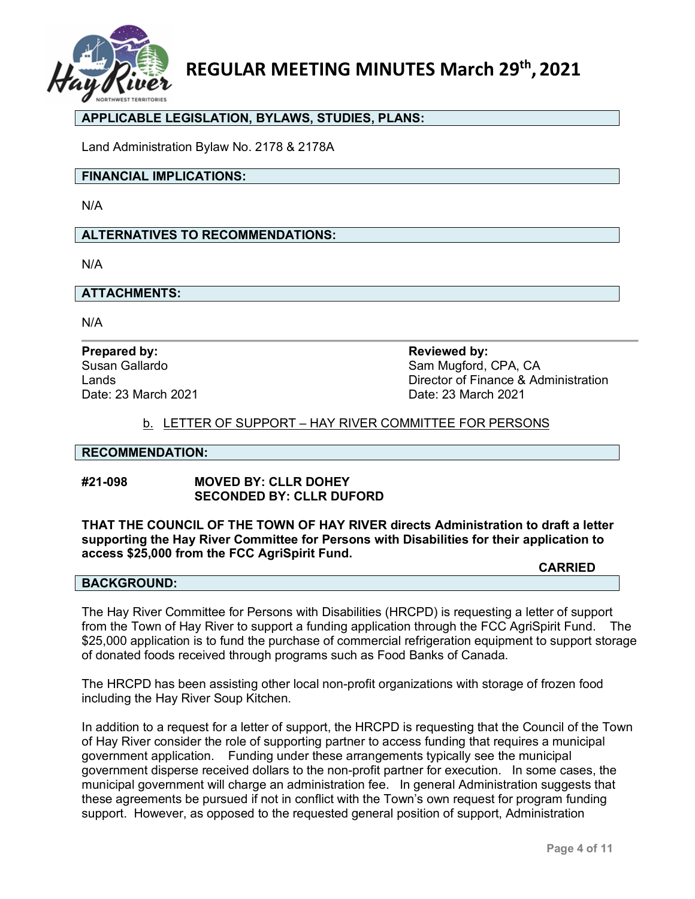

# **APPLICABLE LEGISLATION, BYLAWS, STUDIES, PLANS:**

Land Administration Bylaw No. 2178 & 2178A

#### **FINANCIAL IMPLICATIONS:**

N/A

#### **ALTERNATIVES TO RECOMMENDATIONS:**

N/A

#### **ATTACHMENTS:**

N/A

# **Prepared by: Reviewed by:** Date: 23 March 2021

Susan Gallardo **Susan Gallardo** Sam Mugford, CPA, CA Lands Director of Finance & Administration

#### b. LETTER OF SUPPORT – HAY RIVER COMMITTEE FOR PERSONS

#### **RECOMMENDATION:**

#### **#21-098 MOVED BY: CLLR DOHEY SECONDED BY: CLLR DUFORD**

**THAT THE COUNCIL OF THE TOWN OF HAY RIVER directs Administration to draft a letter supporting the Hay River Committee for Persons with Disabilities for their application to access \$25,000 from the FCC AgriSpirit Fund.** 

#### **BACKGROUND:**

The Hay River Committee for Persons with Disabilities (HRCPD) is requesting a letter of support from the Town of Hay River to support a funding application through the FCC AgriSpirit Fund. The \$25,000 application is to fund the purchase of commercial refrigeration equipment to support storage of donated foods received through programs such as Food Banks of Canada.

The HRCPD has been assisting other local non-profit organizations with storage of frozen food including the Hay River Soup Kitchen.

In addition to a request for a letter of support, the HRCPD is requesting that the Council of the Town of Hay River consider the role of supporting partner to access funding that requires a municipal government application. Funding under these arrangements typically see the municipal government disperse received dollars to the non-profit partner for execution. In some cases, the municipal government will charge an administration fee. In general Administration suggests that these agreements be pursued if not in conflict with the Town's own request for program funding support. However, as opposed to the requested general position of support, Administration

**CARRIED**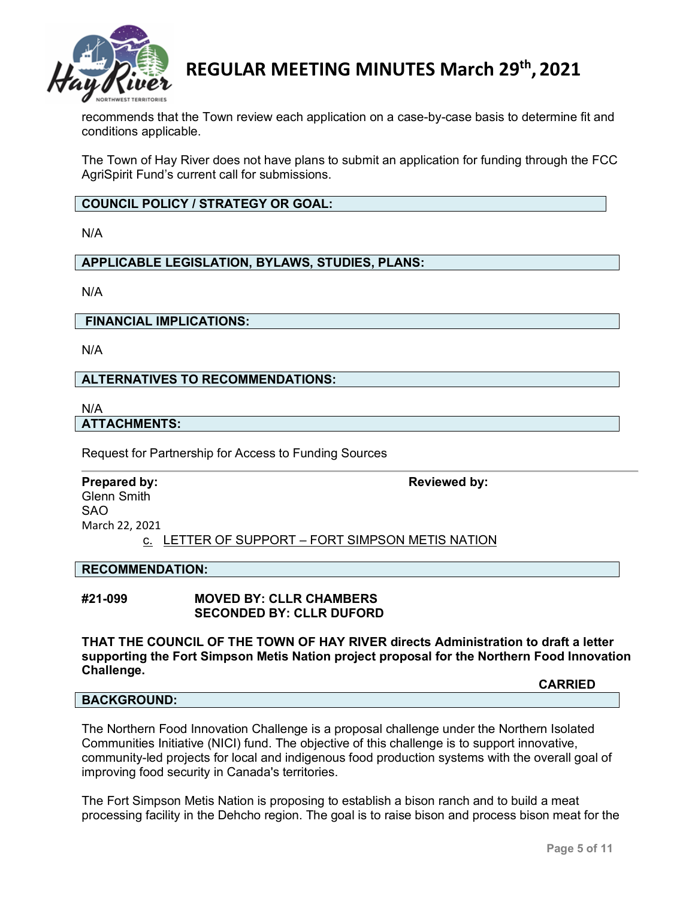

recommends that the Town review each application on a case-by-case basis to determine fit and conditions applicable.

The Town of Hay River does not have plans to submit an application for funding through the FCC AgriSpirit Fund's current call for submissions.

**COUNCIL POLICY / STRATEGY OR GOAL:**

N/A

**APPLICABLE LEGISLATION, BYLAWS, STUDIES, PLANS:**

N/A

**FINANCIAL IMPLICATIONS:**

N/A

#### **ALTERNATIVES TO RECOMMENDATIONS:**

N/A

#### **ATTACHMENTS:**

Request for Partnership for Access to Funding Sources

#### **Prepared by: Reviewed by: Reviewed by:**

Glenn Smith SAO March 22, 2021

c. LETTER OF SUPPORT – FORT SIMPSON METIS NATION

#### **RECOMMENDATION:**

#### **#21-099 MOVED BY: CLLR CHAMBERS SECONDED BY: CLLR DUFORD**

**THAT THE COUNCIL OF THE TOWN OF HAY RIVER directs Administration to draft a letter supporting the Fort Simpson Metis Nation project proposal for the Northern Food Innovation Challenge.** 

**CARRIED**

#### **BACKGROUND:**

The Northern Food Innovation Challenge is a proposal challenge under the Northern Isolated Communities Initiative (NICI) fund. The objective of this challenge is to support innovative, community-led projects for local and indigenous food production systems with the overall goal of improving food security in Canada's territories.

The Fort Simpson Metis Nation is proposing to establish a bison ranch and to build a meat processing facility in the Dehcho region. The goal is to raise bison and process bison meat for the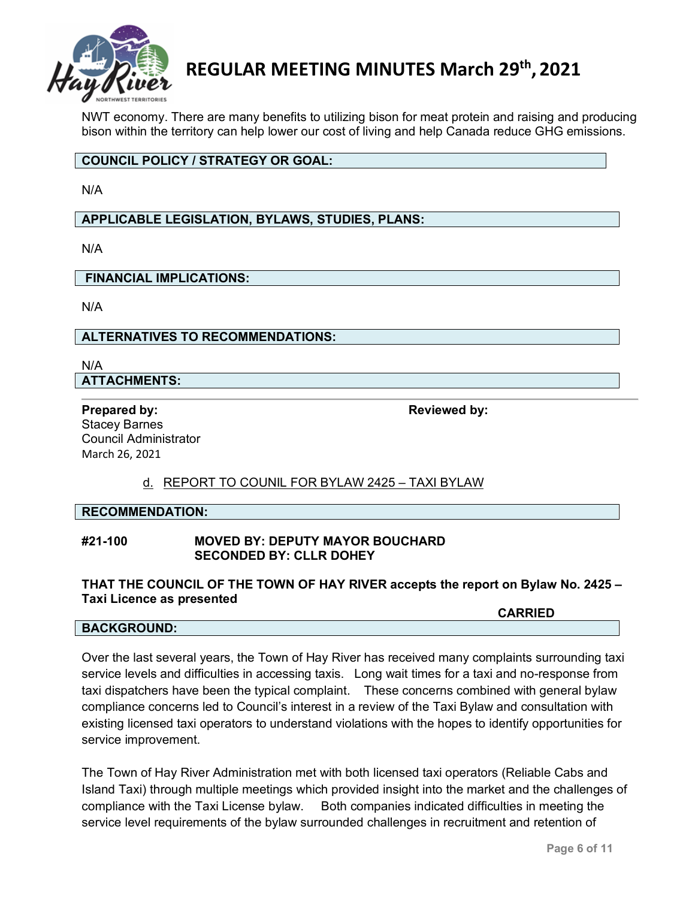

NWT economy. There are many benefits to utilizing bison for meat protein and raising and producing bison within the territory can help lower our cost of living and help Canada reduce GHG emissions.

# **COUNCIL POLICY / STRATEGY OR GOAL:**

N/A

**APPLICABLE LEGISLATION, BYLAWS, STUDIES, PLANS:**

N/A

**FINANCIAL IMPLICATIONS:**

N/A

**ALTERNATIVES TO RECOMMENDATIONS:**

N/A **ATTACHMENTS:**

**Prepared by: Reviewed by: Reviewed by: Reviewed by:** Stacey Barnes Council Administrator March 26, 2021

# d. REPORT TO COUNIL FOR BYLAW 2425 – TAXI BYLAW

# **RECOMMENDATION:**

#### **#21-100 MOVED BY: DEPUTY MAYOR BOUCHARD SECONDED BY: CLLR DOHEY**

#### **THAT THE COUNCIL OF THE TOWN OF HAY RIVER accepts the report on Bylaw No. 2425 – Taxi Licence as presented**

#### **BACKGROUND:**

**CARRIED**

Over the last several years, the Town of Hay River has received many complaints surrounding taxi service levels and difficulties in accessing taxis. Long wait times for a taxi and no-response from taxi dispatchers have been the typical complaint. These concerns combined with general bylaw compliance concerns led to Council's interest in a review of the Taxi Bylaw and consultation with existing licensed taxi operators to understand violations with the hopes to identify opportunities for service improvement.

The Town of Hay River Administration met with both licensed taxi operators (Reliable Cabs and Island Taxi) through multiple meetings which provided insight into the market and the challenges of compliance with the Taxi License bylaw. Both companies indicated difficulties in meeting the service level requirements of the bylaw surrounded challenges in recruitment and retention of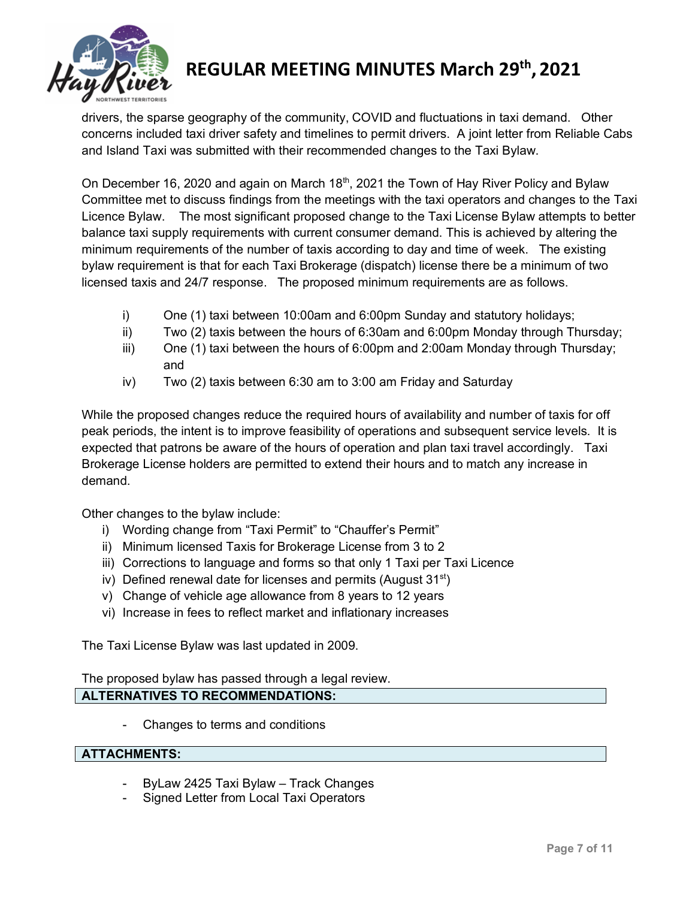

drivers, the sparse geography of the community, COVID and fluctuations in taxi demand. Other concerns included taxi driver safety and timelines to permit drivers. A joint letter from Reliable Cabs and Island Taxi was submitted with their recommended changes to the Taxi Bylaw.

On December 16, 2020 and again on March 18<sup>th</sup>, 2021 the Town of Hay River Policy and Bylaw Committee met to discuss findings from the meetings with the taxi operators and changes to the Taxi Licence Bylaw. The most significant proposed change to the Taxi License Bylaw attempts to better balance taxi supply requirements with current consumer demand. This is achieved by altering the minimum requirements of the number of taxis according to day and time of week. The existing bylaw requirement is that for each Taxi Brokerage (dispatch) license there be a minimum of two licensed taxis and 24/7 response. The proposed minimum requirements are as follows.

- i) One (1) taxi between 10:00am and 6:00pm Sunday and statutory holidays;
- ii) Two (2) taxis between the hours of 6:30am and 6:00pm Monday through Thursday;
- iii) One (1) taxi between the hours of 6:00pm and 2:00am Monday through Thursday; and
- iv) Two (2) taxis between 6:30 am to 3:00 am Friday and Saturday

While the proposed changes reduce the required hours of availability and number of taxis for off peak periods, the intent is to improve feasibility of operations and subsequent service levels. It is expected that patrons be aware of the hours of operation and plan taxi travel accordingly. Taxi Brokerage License holders are permitted to extend their hours and to match any increase in demand.

Other changes to the bylaw include:

- i) Wording change from "Taxi Permit" to "Chauffer's Permit"
- ii) Minimum licensed Taxis for Brokerage License from 3 to 2
- iii) Corrections to language and forms so that only 1 Taxi per Taxi Licence
- iv) Defined renewal date for licenses and permits (August  $31<sup>st</sup>$ )
- v) Change of vehicle age allowance from 8 years to 12 years
- vi) Increase in fees to reflect market and inflationary increases

The Taxi License Bylaw was last updated in 2009.

The proposed bylaw has passed through a legal review. **ALTERNATIVES TO RECOMMENDATIONS:**

- Changes to terms and conditions

#### **ATTACHMENTS:**

- ByLaw 2425 Taxi Bylaw Track Changes
- Signed Letter from Local Taxi Operators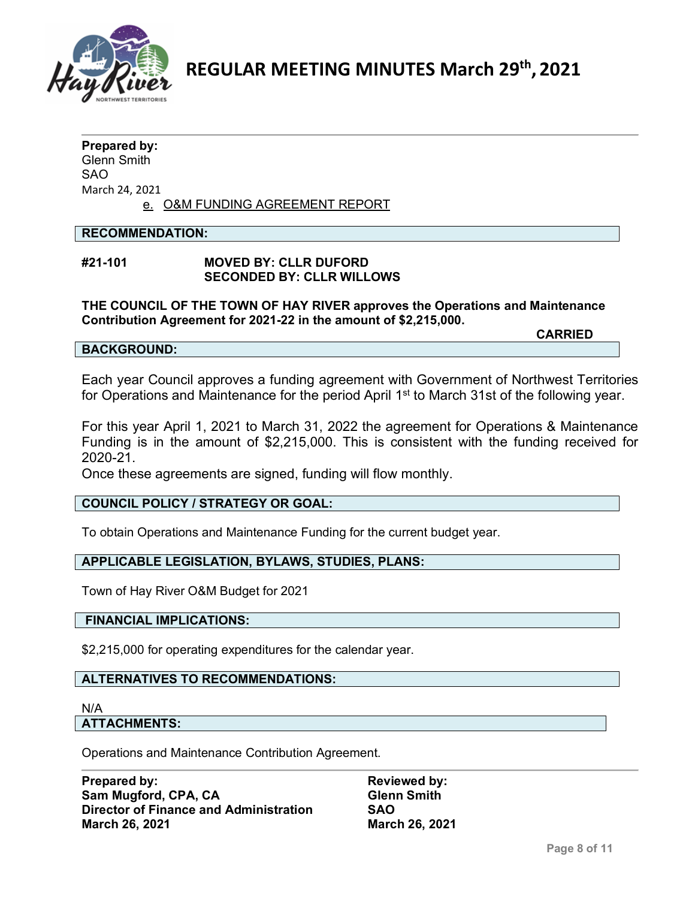

#### **Prepared by:** Glenn Smith SAO March 24, 2021

e. O&M FUNDING AGREEMENT REPORT

# **RECOMMENDATION:**

# **#21-101 MOVED BY: CLLR DUFORD SECONDED BY: CLLR WILLOWS**

**THE COUNCIL OF THE TOWN OF HAY RIVER approves the Operations and Maintenance Contribution Agreement for 2021-22 in the amount of \$2,215,000.**

#### **BACKGROUND:**

**CARRIED**

Each year Council approves a funding agreement with Government of Northwest Territories for Operations and Maintenance for the period April 1<sup>st</sup> to March 31st of the following year.

For this year April 1, 2021 to March 31, 2022 the agreement for Operations & Maintenance Funding is in the amount of \$2,215,000. This is consistent with the funding received for 2020-21.

Once these agreements are signed, funding will flow monthly.

# **COUNCIL POLICY / STRATEGY OR GOAL:**

To obtain Operations and Maintenance Funding for the current budget year.

# **APPLICABLE LEGISLATION, BYLAWS, STUDIES, PLANS:**

Town of Hay River O&M Budget for 2021

#### **FINANCIAL IMPLICATIONS:**

\$2,215,000 for operating expenditures for the calendar year.

#### **ALTERNATIVES TO RECOMMENDATIONS:**

#### N/A

#### **ATTACHMENTS:**

Operations and Maintenance Contribution Agreement.

**Prepared by: Reviewed by: Reviewed by: Sam Mugford, CPA, CA Glenn Smith Director of Finance and Administration SAO**

**March 26, 2021 March 26, 2021**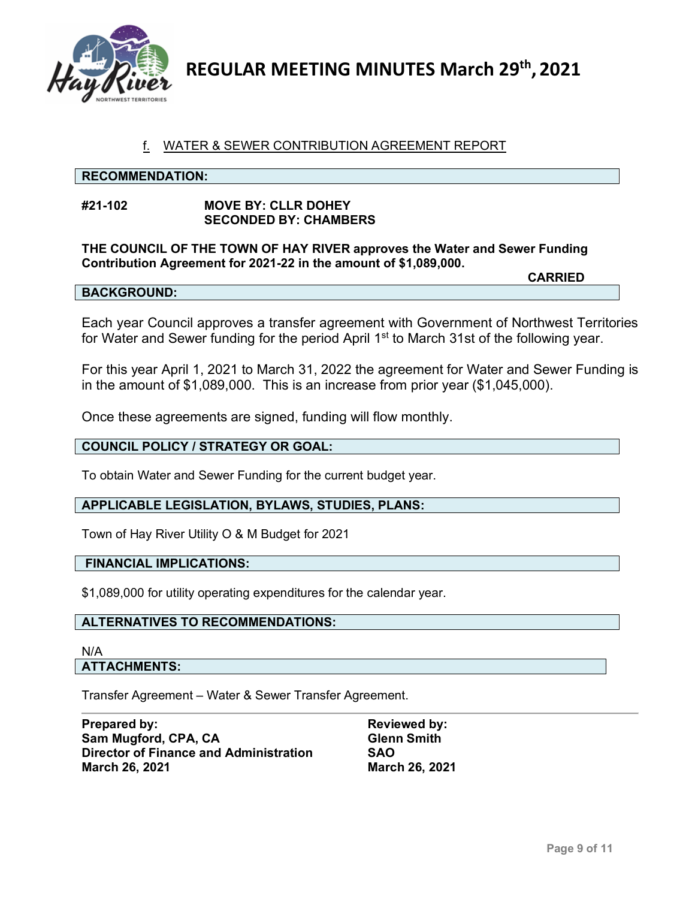

# f. WATER & SEWER CONTRIBUTION AGREEMENT REPORT

#### **RECOMMENDATION:**

#### **#21-102 MOVE BY: CLLR DOHEY SECONDED BY: CHAMBERS**

**THE COUNCIL OF THE TOWN OF HAY RIVER approves the Water and Sewer Funding Contribution Agreement for 2021-22 in the amount of \$1,089,000.**

#### **BACKGROUND:**

**CARRIED**

Each year Council approves a transfer agreement with Government of Northwest Territories for Water and Sewer funding for the period April 1<sup>st</sup> to March 31st of the following year.

For this year April 1, 2021 to March 31, 2022 the agreement for Water and Sewer Funding is in the amount of \$1,089,000. This is an increase from prior year (\$1,045,000).

Once these agreements are signed, funding will flow monthly.

#### **COUNCIL POLICY / STRATEGY OR GOAL:**

To obtain Water and Sewer Funding for the current budget year.

#### **APPLICABLE LEGISLATION, BYLAWS, STUDIES, PLANS:**

Town of Hay River Utility O & M Budget for 2021

#### **FINANCIAL IMPLICATIONS:**

\$1,089,000 for utility operating expenditures for the calendar year.

#### **ALTERNATIVES TO RECOMMENDATIONS:**

#### N/A **ATTACHMENTS:**

Transfer Agreement – Water & Sewer Transfer Agreement.

| Prepared by:                                  | <b>Reviewed by:</b>   |
|-----------------------------------------------|-----------------------|
| Sam Mugford, CPA, CA                          | <b>Glenn Smith</b>    |
| <b>Director of Finance and Administration</b> | <b>SAO</b>            |
| <b>March 26, 2021</b>                         | <b>March 26, 2021</b> |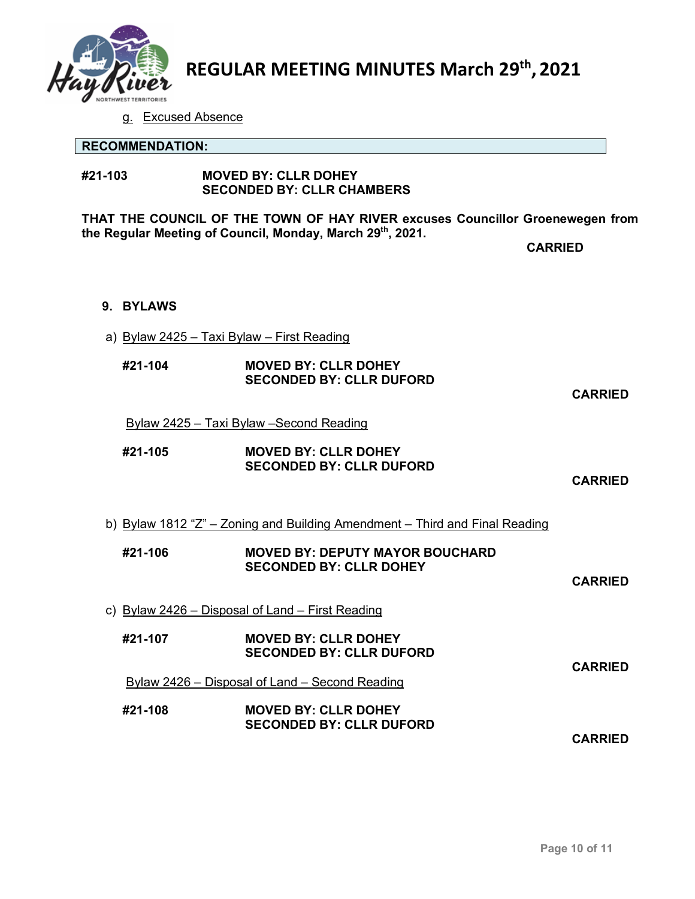

g. Excused Absence

|                                                                               | <b>RECOMMENDATION:</b> |                                                                             |                |  |
|-------------------------------------------------------------------------------|------------------------|-----------------------------------------------------------------------------|----------------|--|
| #21-103                                                                       |                        | <b>MOVED BY: CLLR DOHEY</b><br><b>SECONDED BY: CLLR CHAMBERS</b>            |                |  |
| THAT THE COUNCIL OF THE TOWN OF HAY RIVER excuses Councillor Groenewegen from |                        |                                                                             |                |  |
| the Regular Meeting of Council, Monday, March 29th, 2021.                     |                        | <b>CARRIED</b>                                                              |                |  |
|                                                                               |                        |                                                                             |                |  |
|                                                                               | 9. BYLAWS              |                                                                             |                |  |
|                                                                               |                        | a) Bylaw 2425 - Taxi Bylaw - First Reading                                  |                |  |
|                                                                               | #21-104                | <b>MOVED BY: CLLR DOHEY</b><br><b>SECONDED BY: CLLR DUFORD</b>              | <b>CARRIED</b> |  |
|                                                                               |                        | <u> Bylaw 2425 – Taxi Bylaw – Second Reading</u>                            |                |  |
|                                                                               | #21-105                | <b>MOVED BY: CLLR DOHEY</b><br><b>SECONDED BY: CLLR DUFORD</b>              | <b>CARRIED</b> |  |
|                                                                               |                        | b) Bylaw 1812 "Z" – Zoning and Building Amendment – Third and Final Reading |                |  |
|                                                                               | #21-106                | <b>MOVED BY: DEPUTY MAYOR BOUCHARD</b><br><b>SECONDED BY: CLLR DOHEY</b>    | <b>CARRIED</b> |  |
|                                                                               |                        | c) Bylaw 2426 – Disposal of Land – First Reading                            |                |  |
|                                                                               | #21-107                | <b>MOVED BY: CLLR DOHEY</b><br><b>SECONDED BY: CLLR DUFORD</b>              |                |  |
|                                                                               |                        | Bylaw 2426 – Disposal of Land – Second Reading                              | <b>CARRIED</b> |  |
|                                                                               | #21-108                | <b>MOVED BY: CLLR DOHEY</b><br><b>SECONDED BY: CLLR DUFORD</b>              | <b>CARRIED</b> |  |